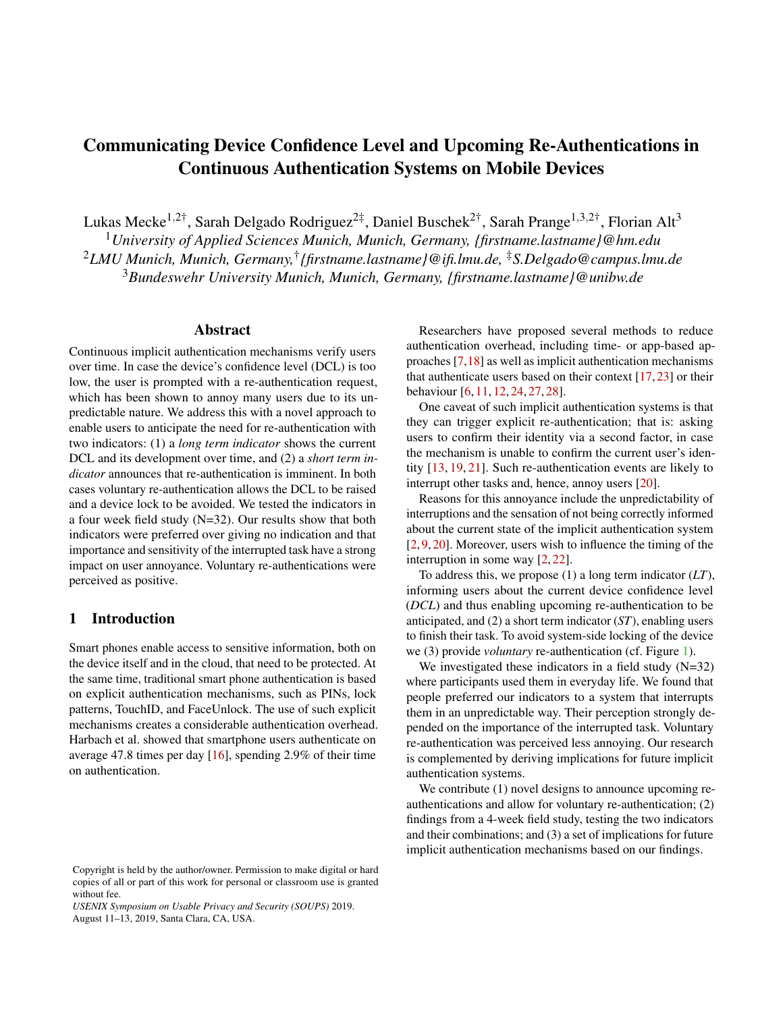# Communicating Device Confidence Level and Upcoming Re-Authentications in Continuous Authentication Systems on Mobile Devices

Lukas Mecke<sup>1,2†</sup>, Sarah Delgado Rodriguez<sup>2‡</sup>, Daniel Buschek<sup>2†</sup>, Sarah Prange<sup>1,3,2†</sup>, Florian Alt<sup>3</sup>

<sup>1</sup>*University of Applied Sciences Munich, Munich, Germany, {firstname.lastname}@hm.edu* <sup>2</sup>*LMU Munich, Munich, Germany,*† *{firstname.lastname}@ifi.lmu.de,* ‡*S.Delgado@campus.lmu.de* <sup>3</sup>*Bundeswehr University Munich, Munich, Germany, {firstname.lastname}@unibw.de*

#### Abstract

Continuous implicit authentication mechanisms verify users over time. In case the device's confidence level (DCL) is too low, the user is prompted with a re-authentication request, which has been shown to annoy many users due to its unpredictable nature. We address this with a novel approach to enable users to anticipate the need for re-authentication with two indicators: (1) a *long term indicator* shows the current DCL and its development over time, and (2) a *short term indicator* announces that re-authentication is imminent. In both cases voluntary re-authentication allows the DCL to be raised and a device lock to be avoided. We tested the indicators in a four week field study (N=32). Our results show that both indicators were preferred over giving no indication and that importance and sensitivity of the interrupted task have a strong impact on user annoyance. Voluntary re-authentications were perceived as positive.

# 1 Introduction

Smart phones enable access to sensitive information, both on the device itself and in the cloud, that need to be protected. At the same time, traditional smart phone authentication is based on explicit authentication mechanisms, such as PINs, lock patterns, TouchID, and FaceUnlock. The use of such explicit mechanisms creates a considerable authentication overhead. Harbach et al. showed that smartphone users authenticate on average 47.8 times per day [\[16\]](#page-11-0), spending 2.9% of their time on authentication.

Researchers have proposed several methods to reduce authentication overhead, including time- or app-based approaches [\[7,](#page-11-1)[18\]](#page-11-2) as well as implicit authentication mechanisms that authenticate users based on their context [\[17,](#page-11-3) [23\]](#page-12-0) or their behaviour [\[6,](#page-11-4) [11,](#page-11-5) [12,](#page-11-6) [24,](#page-12-1) [27,](#page-12-2) [28\]](#page-12-3).

One caveat of such implicit authentication systems is that they can trigger explicit re-authentication; that is: asking users to confirm their identity via a second factor, in case the mechanism is unable to confirm the current user's identity [\[13,](#page-11-7) [19,](#page-11-8) [21\]](#page-12-4). Such re-authentication events are likely to interrupt other tasks and, hence, annoy users [\[20\]](#page-12-5).

Reasons for this annoyance include the unpredictability of interruptions and the sensation of not being correctly informed about the current state of the implicit authentication system [\[2,](#page-11-9) [9,](#page-11-10) [20\]](#page-12-5). Moreover, users wish to influence the timing of the interruption in some way [\[2,](#page-11-9) [22\]](#page-12-6).

To address this, we propose (1) a long term indicator (*LT*), informing users about the current device confidence level (*DCL*) and thus enabling upcoming re-authentication to be anticipated, and (2) a short term indicator (*ST*), enabling users to finish their task. To avoid system-side locking of the device we (3) provide *voluntary* re-authentication (cf. Figure [1\)](#page-1-0).

We investigated these indicators in a field study (N=32) where participants used them in everyday life. We found that people preferred our indicators to a system that interrupts them in an unpredictable way. Their perception strongly depended on the importance of the interrupted task. Voluntary re-authentication was perceived less annoying. Our research is complemented by deriving implications for future implicit authentication systems.

We contribute (1) novel designs to announce upcoming reauthentications and allow for voluntary re-authentication; (2) findings from a 4-week field study, testing the two indicators and their combinations; and (3) a set of implications for future implicit authentication mechanisms based on our findings.

Copyright is held by the author/owner. Permission to make digital or hard copies of all or part of this work for personal or classroom use is granted without fee.

*USENIX Symposium on Usable Privacy and Security (SOUPS)* 2019. August 11–13, 2019, Santa Clara, CA, USA.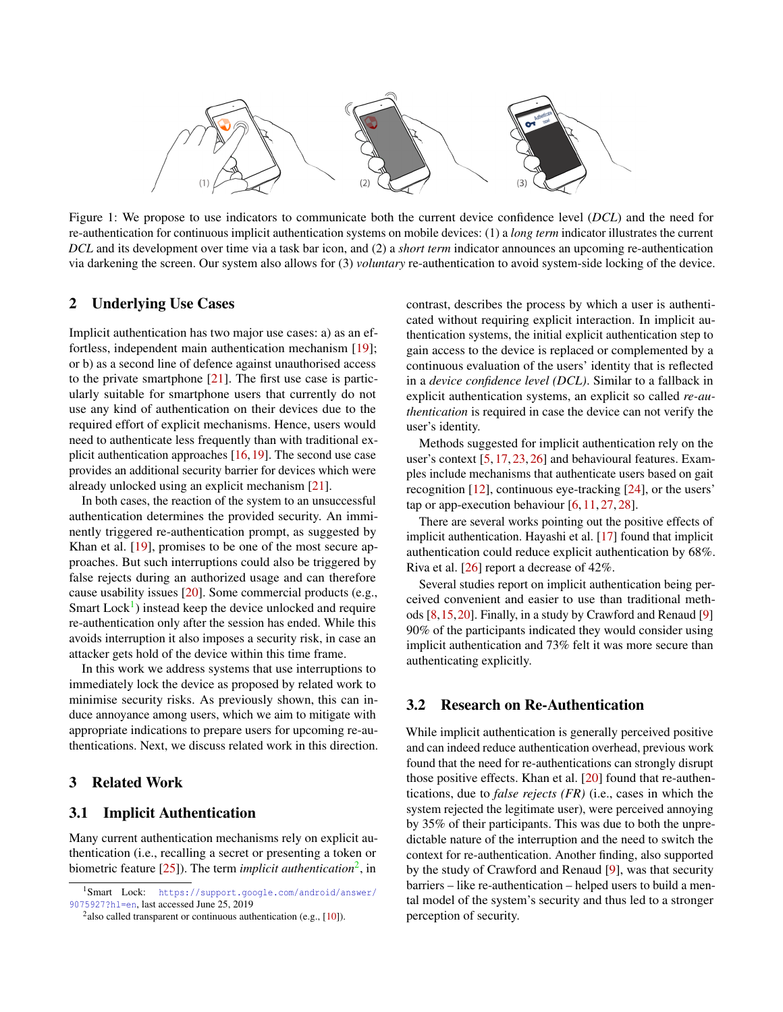

Figure 1: We propose to use indicators to communicate both the current device confidence level (*DCL*) and the need for re-authentication for continuous implicit authentication systems on mobile devices: (1) a *long term* indicator illustrates the current *DCL* and its development over time via a task bar icon, and (2) a *short term* indicator announces an upcoming re-authentication via darkening the screen. Our system also allows for (3) *voluntary* re-authentication to avoid system-side locking of the device.

### 2 Underlying Use Cases

Implicit authentication has two major use cases: a) as an effortless, independent main authentication mechanism [\[19\]](#page-11-8); or b) as a second line of defence against unauthorised access to the private smartphone [\[21\]](#page-12-4). The first use case is particularly suitable for smartphone users that currently do not use any kind of authentication on their devices due to the required effort of explicit mechanisms. Hence, users would need to authenticate less frequently than with traditional explicit authentication approaches [\[16,](#page-11-0)[19\]](#page-11-8). The second use case provides an additional security barrier for devices which were already unlocked using an explicit mechanism [\[21\]](#page-12-4).

In both cases, the reaction of the system to an unsuccessful authentication determines the provided security. An imminently triggered re-authentication prompt, as suggested by Khan et al. [\[19\]](#page-11-8), promises to be one of the most secure approaches. But such interruptions could also be triggered by false rejects during an authorized usage and can therefore cause usability issues [\[20\]](#page-12-5). Some commercial products (e.g., Smart Lock<sup>[1](#page-1-1)</sup>) instead keep the device unlocked and require re-authentication only after the session has ended. While this avoids interruption it also imposes a security risk, in case an attacker gets hold of the device within this time frame.

In this work we address systems that use interruptions to immediately lock the device as proposed by related work to minimise security risks. As previously shown, this can induce annoyance among users, which we aim to mitigate with appropriate indications to prepare users for upcoming re-authentications. Next, we discuss related work in this direction.

### 3 Related Work

### 3.1 Implicit Authentication

Many current authentication mechanisms rely on explicit authentication (i.e., recalling a secret or presenting a token or biometric feature [\[25\]](#page-12-7)). The term *implicit authentication*<sup>[2](#page-1-2)</sup>, in

<span id="page-1-0"></span>contrast, describes the process by which a user is authenticated without requiring explicit interaction. In implicit authentication systems, the initial explicit authentication step to gain access to the device is replaced or complemented by a continuous evaluation of the users' identity that is reflected in a *device confidence level (DCL)*. Similar to a fallback in explicit authentication systems, an explicit so called *re-authentication* is required in case the device can not verify the user's identity.

Methods suggested for implicit authentication rely on the user's context [\[5,](#page-11-12) [17,](#page-11-3) [23,](#page-12-0) [26\]](#page-12-8) and behavioural features. Examples include mechanisms that authenticate users based on gait recognition [\[12\]](#page-11-6), continuous eye-tracking [\[24\]](#page-12-1), or the users' tap or app-execution behaviour  $[6, 11, 27, 28]$  $[6, 11, 27, 28]$  $[6, 11, 27, 28]$  $[6, 11, 27, 28]$  $[6, 11, 27, 28]$  $[6, 11, 27, 28]$  $[6, 11, 27, 28]$ .

There are several works pointing out the positive effects of implicit authentication. Hayashi et al. [\[17\]](#page-11-3) found that implicit authentication could reduce explicit authentication by 68%. Riva et al. [\[26\]](#page-12-8) report a decrease of 42%.

Several studies report on implicit authentication being perceived convenient and easier to use than traditional methods [\[8,](#page-11-13)[15,](#page-11-14)[20\]](#page-12-5). Finally, in a study by Crawford and Renaud [\[9\]](#page-11-10) 90% of the participants indicated they would consider using implicit authentication and 73% felt it was more secure than authenticating explicitly.

### 3.2 Research on Re-Authentication

While implicit authentication is generally perceived positive and can indeed reduce authentication overhead, previous work found that the need for re-authentications can strongly disrupt those positive effects. Khan et al. [\[20\]](#page-12-5) found that re-authentications, due to *false rejects (FR)* (i.e., cases in which the system rejected the legitimate user), were perceived annoying by 35% of their participants. This was due to both the unpredictable nature of the interruption and the need to switch the context for re-authentication. Another finding, also supported by the study of Crawford and Renaud [\[9\]](#page-11-10), was that security barriers – like re-authentication – helped users to build a mental model of the system's security and thus led to a stronger perception of security.

<span id="page-1-1"></span><sup>1</sup>Smart Lock: [https://support.google.com/android/answer/](https://support.google.com/android/answer/9075927?hl=en) [9075927?hl=en](https://support.google.com/android/answer/9075927?hl=en), last accessed June 25, 2019

<span id="page-1-2"></span><sup>&</sup>lt;sup>2</sup> also called transparent or continuous authentication (e.g.,  $[10]$ ).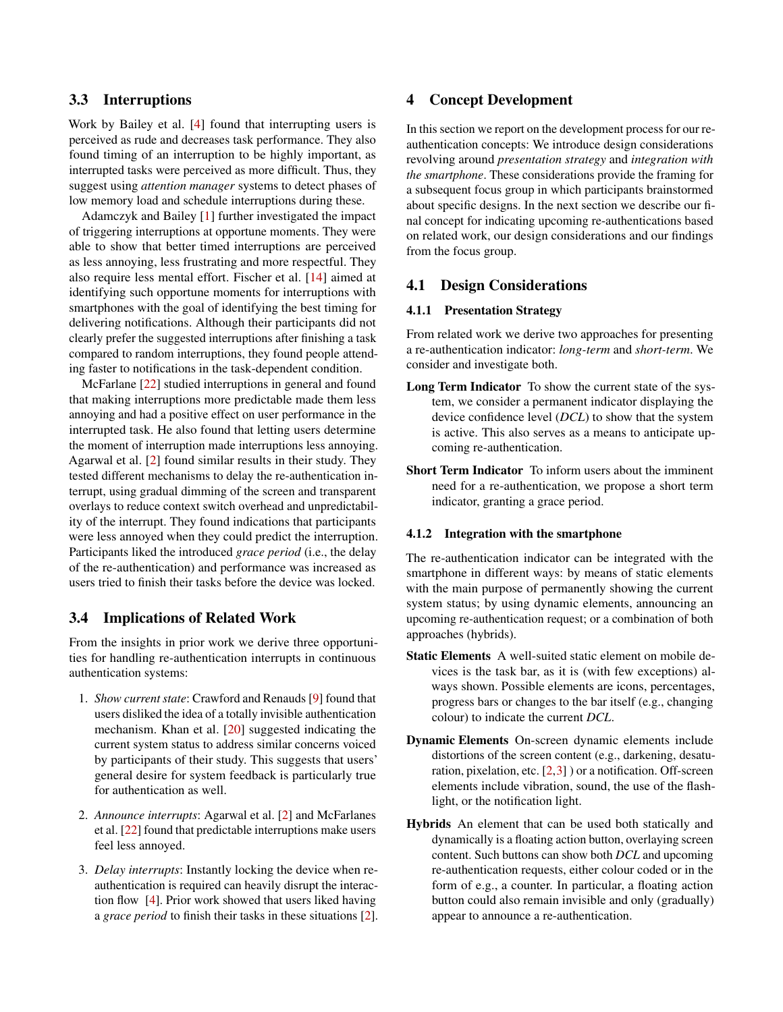# 3.3 Interruptions

Work by Bailey et al. [\[4\]](#page-11-15) found that interrupting users is perceived as rude and decreases task performance. They also found timing of an interruption to be highly important, as interrupted tasks were perceived as more difficult. Thus, they suggest using *attention manager* systems to detect phases of low memory load and schedule interruptions during these.

Adamczyk and Bailey [\[1\]](#page-11-16) further investigated the impact of triggering interruptions at opportune moments. They were able to show that better timed interruptions are perceived as less annoying, less frustrating and more respectful. They also require less mental effort. Fischer et al. [\[14\]](#page-11-17) aimed at identifying such opportune moments for interruptions with smartphones with the goal of identifying the best timing for delivering notifications. Although their participants did not clearly prefer the suggested interruptions after finishing a task compared to random interruptions, they found people attending faster to notifications in the task-dependent condition.

McFarlane [\[22\]](#page-12-6) studied interruptions in general and found that making interruptions more predictable made them less annoying and had a positive effect on user performance in the interrupted task. He also found that letting users determine the moment of interruption made interruptions less annoying. Agarwal et al. [\[2\]](#page-11-9) found similar results in their study. They tested different mechanisms to delay the re-authentication interrupt, using gradual dimming of the screen and transparent overlays to reduce context switch overhead and unpredictability of the interrupt. They found indications that participants were less annoyed when they could predict the interruption. Participants liked the introduced *grace period* (i.e., the delay of the re-authentication) and performance was increased as users tried to finish their tasks before the device was locked.

# 3.4 Implications of Related Work

From the insights in prior work we derive three opportunities for handling re-authentication interrupts in continuous authentication systems:

- 1. *Show current state*: Crawford and Renauds [\[9\]](#page-11-10) found that users disliked the idea of a totally invisible authentication mechanism. Khan et al. [\[20\]](#page-12-5) suggested indicating the current system status to address similar concerns voiced by participants of their study. This suggests that users' general desire for system feedback is particularly true for authentication as well.
- 2. *Announce interrupts*: Agarwal et al. [\[2\]](#page-11-9) and McFarlanes et al. [\[22\]](#page-12-6) found that predictable interruptions make users feel less annoyed.
- 3. *Delay interrupts*: Instantly locking the device when reauthentication is required can heavily disrupt the interaction flow [\[4\]](#page-11-15). Prior work showed that users liked having a *grace period* to finish their tasks in these situations [\[2\]](#page-11-9).

# 4 Concept Development

In this section we report on the development process for our reauthentication concepts: We introduce design considerations revolving around *presentation strategy* and *integration with the smartphone*. These considerations provide the framing for a subsequent focus group in which participants brainstormed about specific designs. In the next section we describe our final concept for indicating upcoming re-authentications based on related work, our design considerations and our findings from the focus group.

#### 4.1 Design Considerations

#### 4.1.1 Presentation Strategy

From related work we derive two approaches for presenting a re-authentication indicator: *long-term* and *short-term*. We consider and investigate both.

- Long Term Indicator To show the current state of the system, we consider a permanent indicator displaying the device confidence level (*DCL*) to show that the system is active. This also serves as a means to anticipate upcoming re-authentication.
- Short Term Indicator To inform users about the imminent need for a re-authentication, we propose a short term indicator, granting a grace period.

#### 4.1.2 Integration with the smartphone

The re-authentication indicator can be integrated with the smartphone in different ways: by means of static elements with the main purpose of permanently showing the current system status; by using dynamic elements, announcing an upcoming re-authentication request; or a combination of both approaches (hybrids).

- Static Elements A well-suited static element on mobile devices is the task bar, as it is (with few exceptions) always shown. Possible elements are icons, percentages, progress bars or changes to the bar itself (e.g., changing colour) to indicate the current *DCL*.
- Dynamic Elements On-screen dynamic elements include distortions of the screen content (e.g., darkening, desaturation, pixelation, etc.  $[2,3]$  $[2,3]$  ) or a notification. Off-screen elements include vibration, sound, the use of the flashlight, or the notification light.
- Hybrids An element that can be used both statically and dynamically is a floating action button, overlaying screen content. Such buttons can show both *DCL* and upcoming re-authentication requests, either colour coded or in the form of e.g., a counter. In particular, a floating action button could also remain invisible and only (gradually) appear to announce a re-authentication.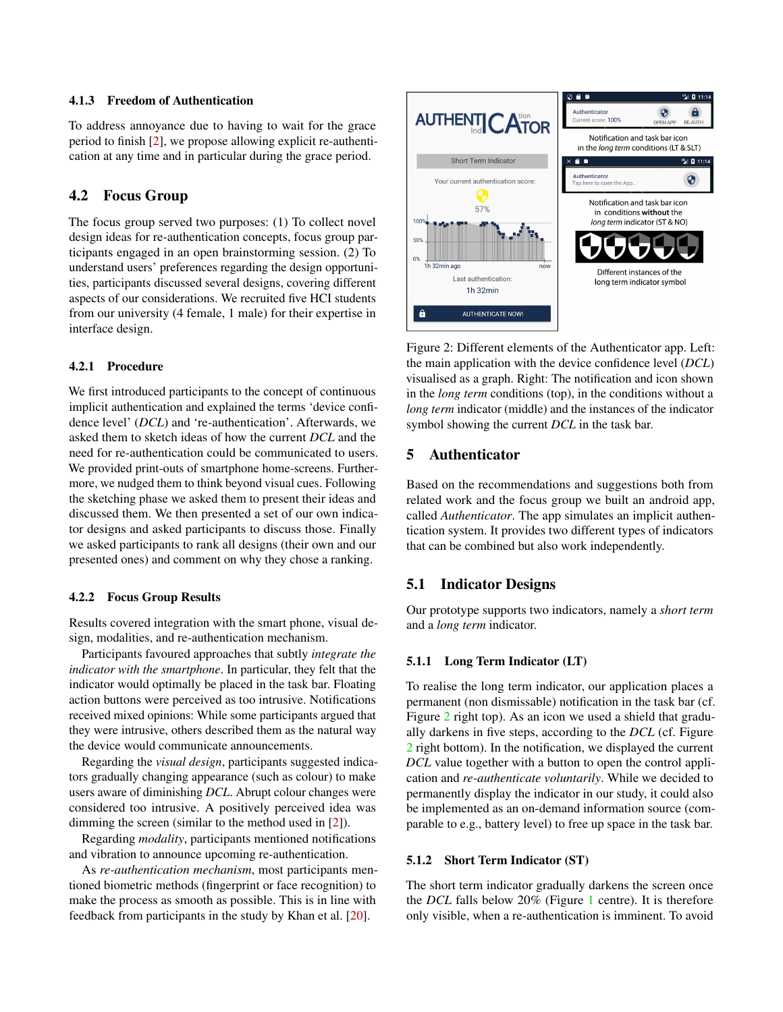#### 4.1.3 Freedom of Authentication

To address annoyance due to having to wait for the grace period to finish [\[2\]](#page-11-9), we propose allowing explicit re-authentication at any time and in particular during the grace period.

### 4.2 Focus Group

The focus group served two purposes: (1) To collect novel design ideas for re-authentication concepts, focus group participants engaged in an open brainstorming session. (2) To understand users' preferences regarding the design opportunities, participants discussed several designs, covering different aspects of our considerations. We recruited five HCI students from our university (4 female, 1 male) for their expertise in interface design.

#### 4.2.1 Procedure

We first introduced participants to the concept of continuous implicit authentication and explained the terms 'device confidence level' (*DCL*) and 're-authentication'. Afterwards, we asked them to sketch ideas of how the current *DCL* and the need for re-authentication could be communicated to users. We provided print-outs of smartphone home-screens. Furthermore, we nudged them to think beyond visual cues. Following the sketching phase we asked them to present their ideas and discussed them. We then presented a set of our own indicator designs and asked participants to discuss those. Finally we asked participants to rank all designs (their own and our presented ones) and comment on why they chose a ranking.

#### 4.2.2 Focus Group Results

Results covered integration with the smart phone, visual design, modalities, and re-authentication mechanism.

Participants favoured approaches that subtly *integrate the indicator with the smartphone*. In particular, they felt that the indicator would optimally be placed in the task bar. Floating action buttons were perceived as too intrusive. Notifications received mixed opinions: While some participants argued that they were intrusive, others described them as the natural way the device would communicate announcements.

Regarding the *visual design*, participants suggested indicators gradually changing appearance (such as colour) to make users aware of diminishing *DCL*. Abrupt colour changes were considered too intrusive. A positively perceived idea was dimming the screen (similar to the method used in [\[2\]](#page-11-9)).

Regarding *modality*, participants mentioned notifications and vibration to announce upcoming re-authentication.

As *re-authentication mechanism*, most participants mentioned biometric methods (fingerprint or face recognition) to make the process as smooth as possible. This is in line with feedback from participants in the study by Khan et al. [\[20\]](#page-12-5).



<span id="page-3-0"></span>Figure 2: Different elements of the Authenticator app. Left: the main application with the device confidence level (*DCL*) visualised as a graph. Right: The notification and icon shown in the *long term* conditions (top), in the conditions without a *long term* indicator (middle) and the instances of the indicator symbol showing the current *DCL* in the task bar.

### 5 Authenticator

Based on the recommendations and suggestions both from related work and the focus group we built an android app, called *Authenticator*. The app simulates an implicit authentication system. It provides two different types of indicators that can be combined but also work independently.

### 5.1 Indicator Designs

Our prototype supports two indicators, namely a *short term* and a *long term* indicator.

#### 5.1.1 Long Term Indicator (LT)

To realise the long term indicator, our application places a permanent (non dismissable) notification in the task bar (cf. Figure [2](#page-3-0) right top). As an icon we used a shield that gradually darkens in five steps, according to the *DCL* (cf. Figure [2](#page-3-0) right bottom). In the notification, we displayed the current *DCL* value together with a button to open the control application and *re-authenticate voluntarily*. While we decided to permanently display the indicator in our study, it could also be implemented as an on-demand information source (comparable to e.g., battery level) to free up space in the task bar.

#### 5.1.2 Short Term Indicator (ST)

The short term indicator gradually darkens the screen once the *DCL* falls below 20% (Figure [1](#page-1-0) centre). It is therefore only visible, when a re-authentication is imminent. To avoid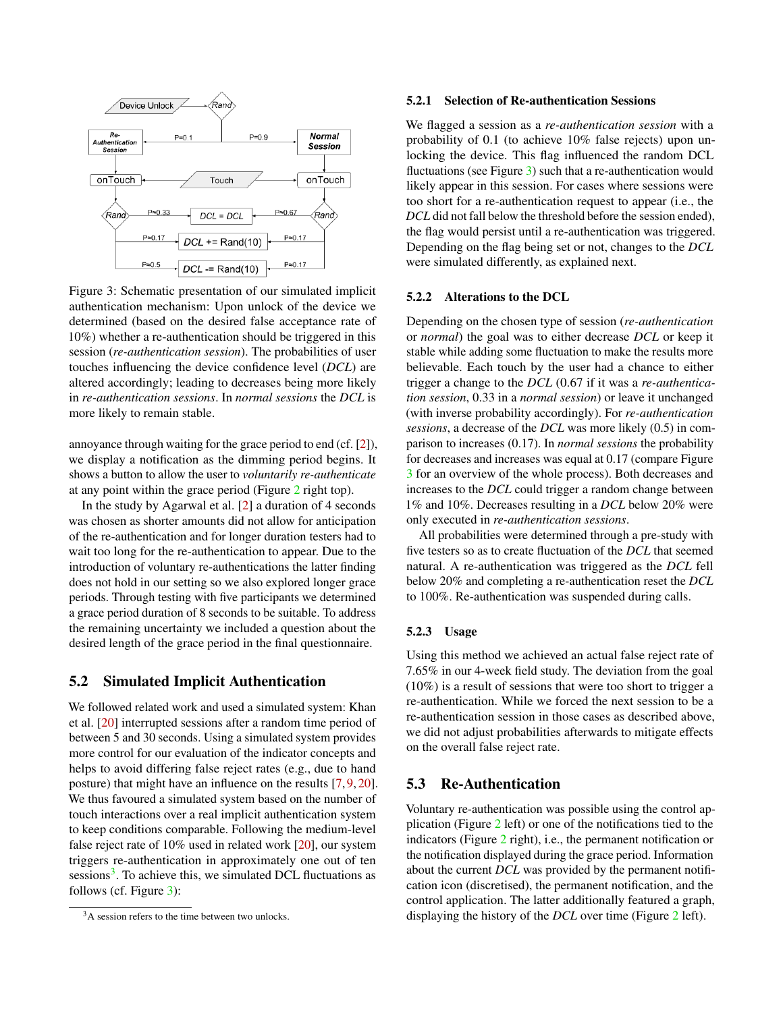

Figure 3: Schematic presentation of our simulated implicit authentication mechanism: Upon unlock of the device we determined (based on the desired false acceptance rate of 10%) whether a re-authentication should be triggered in this session (*re-authentication session*). The probabilities of user touches influencing the device confidence level (*DCL*) are altered accordingly; leading to decreases being more likely in *re-authentication sessions*. In *normal sessions* the *DCL* is more likely to remain stable.

annoyance through waiting for the grace period to end (cf. [\[2\]](#page-11-9)), we display a notification as the dimming period begins. It shows a button to allow the user to *voluntarily re-authenticate* at any point within the grace period (Figure [2](#page-3-0) right top).

In the study by Agarwal et al. [\[2\]](#page-11-9) a duration of 4 seconds was chosen as shorter amounts did not allow for anticipation of the re-authentication and for longer duration testers had to wait too long for the re-authentication to appear. Due to the introduction of voluntary re-authentications the latter finding does not hold in our setting so we also explored longer grace periods. Through testing with five participants we determined a grace period duration of 8 seconds to be suitable. To address the remaining uncertainty we included a question about the desired length of the grace period in the final questionnaire.

### 5.2 Simulated Implicit Authentication

We followed related work and used a simulated system: Khan et al. [\[20\]](#page-12-5) interrupted sessions after a random time period of between 5 and 30 seconds. Using a simulated system provides more control for our evaluation of the indicator concepts and helps to avoid differing false reject rates (e.g., due to hand posture) that might have an influence on the results [\[7,](#page-11-1) [9,](#page-11-10) [20\]](#page-12-5). We thus favoured a simulated system based on the number of touch interactions over a real implicit authentication system to keep conditions comparable. Following the medium-level false reject rate of 10% used in related work [\[20\]](#page-12-5), our system triggers re-authentication in approximately one out of ten sessions<sup>[3](#page-4-0)</sup>. To achieve this, we simulated DCL fluctuations as follows (cf. Figure [3\)](#page-4-1):

#### 5.2.1 Selection of Re-authentication Sessions

We flagged a session as a *re-authentication session* with a probability of 0.1 (to achieve 10% false rejects) upon unlocking the device. This flag influenced the random DCL fluctuations (see Figure [3\)](#page-4-1) such that a re-authentication would likely appear in this session. For cases where sessions were too short for a re-authentication request to appear (i.e., the *DCL* did not fall below the threshold before the session ended), the flag would persist until a re-authentication was triggered. Depending on the flag being set or not, changes to the *DCL* were simulated differently, as explained next.

#### <span id="page-4-1"></span>5.2.2 Alterations to the DCL

Depending on the chosen type of session (*re-authentication* or *normal*) the goal was to either decrease *DCL* or keep it stable while adding some fluctuation to make the results more believable. Each touch by the user had a chance to either trigger a change to the *DCL* (0.67 if it was a *re-authentication session*, 0.33 in a *normal session*) or leave it unchanged (with inverse probability accordingly). For *re-authentication sessions*, a decrease of the *DCL* was more likely (0.5) in comparison to increases (0.17). In *normal sessions* the probability for decreases and increases was equal at 0.17 (compare Figure [3](#page-4-1) for an overview of the whole process). Both decreases and increases to the *DCL* could trigger a random change between 1% and 10%. Decreases resulting in a *DCL* below 20% were only executed in *re-authentication sessions*.

All probabilities were determined through a pre-study with five testers so as to create fluctuation of the *DCL* that seemed natural. A re-authentication was triggered as the *DCL* fell below 20% and completing a re-authentication reset the *DCL* to 100%. Re-authentication was suspended during calls.

#### 5.2.3 Usage

Using this method we achieved an actual false reject rate of 7.65% in our 4-week field study. The deviation from the goal (10%) is a result of sessions that were too short to trigger a re-authentication. While we forced the next session to be a re-authentication session in those cases as described above, we did not adjust probabilities afterwards to mitigate effects on the overall false reject rate.

#### 5.3 Re-Authentication

Voluntary re-authentication was possible using the control application (Figure [2](#page-3-0) left) or one of the notifications tied to the indicators (Figure [2](#page-3-0) right), i.e., the permanent notification or the notification displayed during the grace period. Information about the current *DCL* was provided by the permanent notification icon (discretised), the permanent notification, and the control application. The latter additionally featured a graph, displaying the history of the *DCL* over time (Figure [2](#page-3-0) left).

<span id="page-4-0"></span><sup>&</sup>lt;sup>3</sup>A session refers to the time between two unlocks.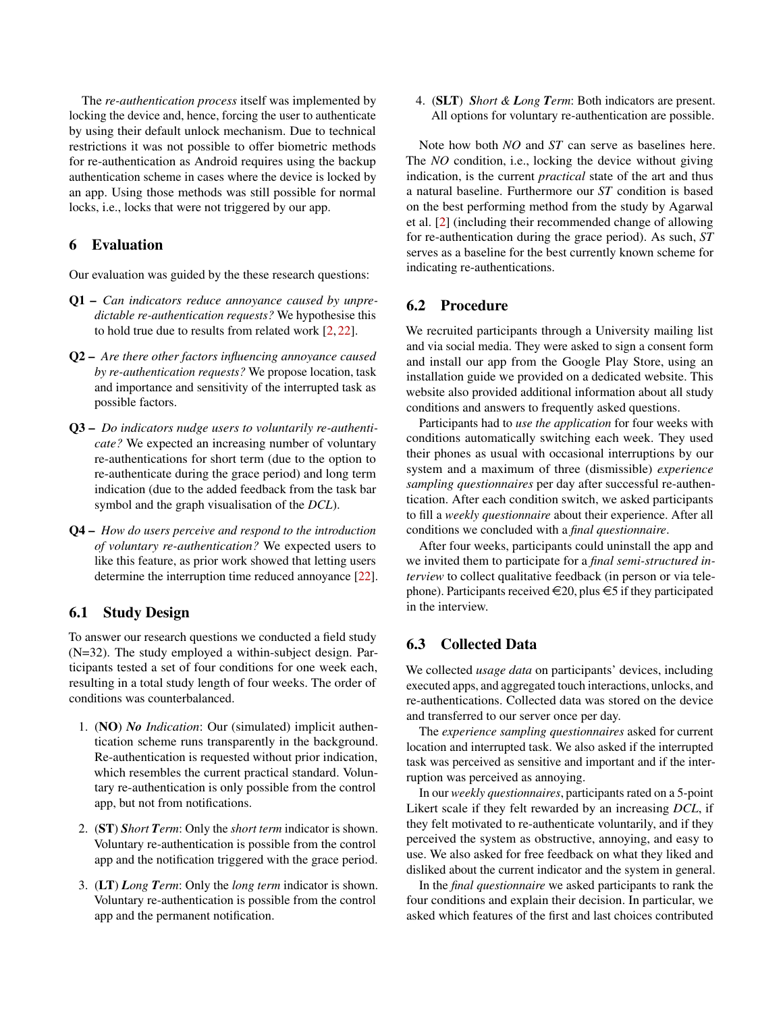The *re-authentication process* itself was implemented by locking the device and, hence, forcing the user to authenticate by using their default unlock mechanism. Due to technical restrictions it was not possible to offer biometric methods for re-authentication as Android requires using the backup authentication scheme in cases where the device is locked by an app. Using those methods was still possible for normal locks, i.e., locks that were not triggered by our app.

# 6 Evaluation

Our evaluation was guided by the these research questions:

- Q1 *Can indicators reduce annoyance caused by unpredictable re-authentication requests?* We hypothesise this to hold true due to results from related work [\[2,](#page-11-9) [22\]](#page-12-6).
- Q2 *Are there other factors influencing annoyance caused by re-authentication requests?* We propose location, task and importance and sensitivity of the interrupted task as possible factors.
- Q3 *Do indicators nudge users to voluntarily re-authenticate?* We expected an increasing number of voluntary re-authentications for short term (due to the option to re-authenticate during the grace period) and long term indication (due to the added feedback from the task bar symbol and the graph visualisation of the *DCL*).
- Q4 *How do users perceive and respond to the introduction of voluntary re-authentication?* We expected users to like this feature, as prior work showed that letting users determine the interruption time reduced annoyance [\[22\]](#page-12-6).

# 6.1 Study Design

To answer our research questions we conducted a field study (N=32). The study employed a within-subject design. Participants tested a set of four conditions for one week each, resulting in a total study length of four weeks. The order of conditions was counterbalanced.

- 1. (NO) *No Indication*: Our (simulated) implicit authentication scheme runs transparently in the background. Re-authentication is requested without prior indication, which resembles the current practical standard. Voluntary re-authentication is only possible from the control app, but not from notifications.
- 2. (ST) *Short Term*: Only the *short term* indicator is shown. Voluntary re-authentication is possible from the control app and the notification triggered with the grace period.
- 3. (LT) *Long Term*: Only the *long term* indicator is shown. Voluntary re-authentication is possible from the control app and the permanent notification.

4. (SLT) *Short & Long Term*: Both indicators are present. All options for voluntary re-authentication are possible.

Note how both *NO* and *ST* can serve as baselines here. The *NO* condition, i.e., locking the device without giving indication, is the current *practical* state of the art and thus a natural baseline. Furthermore our *ST* condition is based on the best performing method from the study by Agarwal et al. [\[2\]](#page-11-9) (including their recommended change of allowing for re-authentication during the grace period). As such, *ST* serves as a baseline for the best currently known scheme for indicating re-authentications.

# 6.2 Procedure

We recruited participants through a University mailing list and via social media. They were asked to sign a consent form and install our app from the Google Play Store, using an installation guide we provided on a dedicated website. This website also provided additional information about all study conditions and answers to frequently asked questions.

Participants had to *use the application* for four weeks with conditions automatically switching each week. They used their phones as usual with occasional interruptions by our system and a maximum of three (dismissible) *experience sampling questionnaires* per day after successful re-authentication. After each condition switch, we asked participants to fill a *weekly questionnaire* about their experience. After all conditions we concluded with a *final questionnaire*.

After four weeks, participants could uninstall the app and we invited them to participate for a *final semi-structured interview* to collect qualitative feedback (in person or via telephone). Participants received  $\in 20$ , plus  $\in 5$  if they participated in the interview.

### 6.3 Collected Data

We collected *usage data* on participants' devices, including executed apps, and aggregated touch interactions, unlocks, and re-authentications. Collected data was stored on the device and transferred to our server once per day.

The *experience sampling questionnaires* asked for current location and interrupted task. We also asked if the interrupted task was perceived as sensitive and important and if the interruption was perceived as annoying.

In our *weekly questionnaires*, participants rated on a 5-point Likert scale if they felt rewarded by an increasing *DCL*, if they felt motivated to re-authenticate voluntarily, and if they perceived the system as obstructive, annoying, and easy to use. We also asked for free feedback on what they liked and disliked about the current indicator and the system in general.

In the *final questionnaire* we asked participants to rank the four conditions and explain their decision. In particular, we asked which features of the first and last choices contributed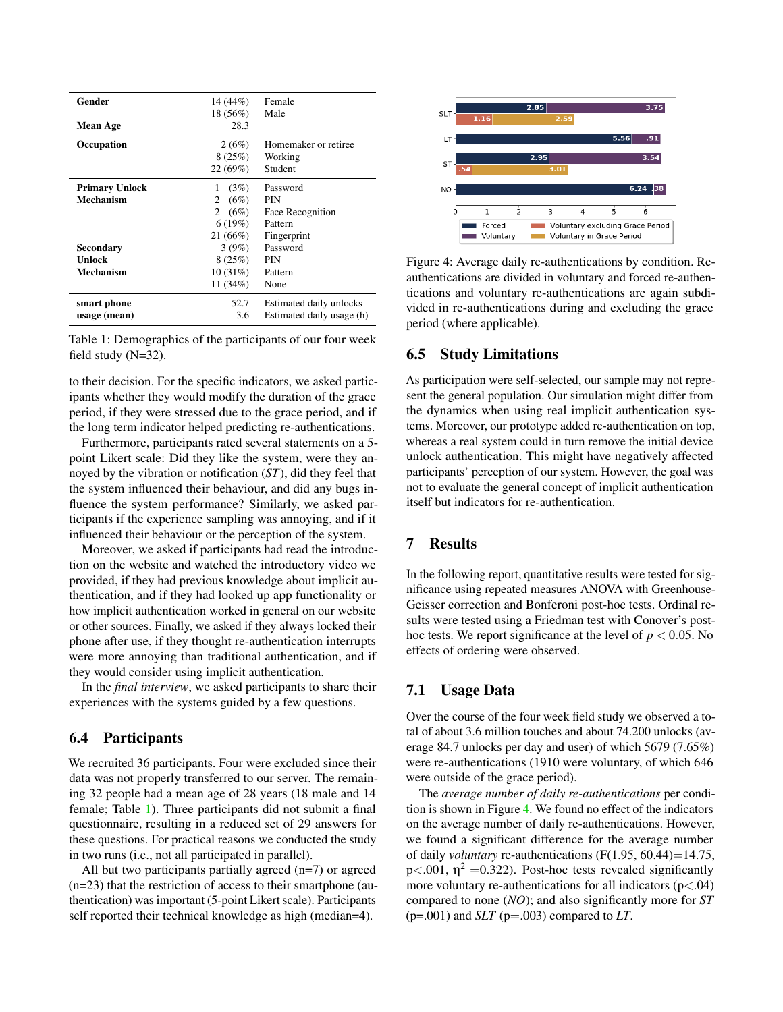| Gender                             | 14 (44%)                                                  | Female                                                               |
|------------------------------------|-----------------------------------------------------------|----------------------------------------------------------------------|
| <b>Mean Age</b>                    | 18 (56%)<br>28.3                                          | Male                                                                 |
| Occupation                         | 2(6%)<br>8(25%)<br>22(69%)                                | Homemaker or retiree<br>Working<br>Student                           |
| <b>Primary Unlock</b><br>Mechanism | (3%)<br>1<br>(6%)<br>2<br>(6%)<br>2<br>6(19%)<br>21 (66%) | Password<br><b>PIN</b><br>Face Recognition<br>Pattern<br>Fingerprint |
| Secondary<br>Unlock<br>Mechanism   | 3(9%)<br>8(25%)<br>10(31%)<br>11 $(34%)$                  | Password<br>PIN<br>Pattern<br>None                                   |
| smart phone<br>usage (mean)        | 52.7<br>3.6                                               | Estimated daily unlocks<br>Estimated daily usage (h)                 |

<span id="page-6-0"></span>Table 1: Demographics of the participants of our four week field study (N=32).

to their decision. For the specific indicators, we asked participants whether they would modify the duration of the grace period, if they were stressed due to the grace period, and if the long term indicator helped predicting re-authentications.

Furthermore, participants rated several statements on a 5 point Likert scale: Did they like the system, were they annoyed by the vibration or notification (*ST*), did they feel that the system influenced their behaviour, and did any bugs influence the system performance? Similarly, we asked participants if the experience sampling was annoying, and if it influenced their behaviour or the perception of the system.

Moreover, we asked if participants had read the introduction on the website and watched the introductory video we provided, if they had previous knowledge about implicit authentication, and if they had looked up app functionality or how implicit authentication worked in general on our website or other sources. Finally, we asked if they always locked their phone after use, if they thought re-authentication interrupts were more annoying than traditional authentication, and if they would consider using implicit authentication.

In the *final interview*, we asked participants to share their experiences with the systems guided by a few questions.

### 6.4 Participants

We recruited 36 participants. Four were excluded since their data was not properly transferred to our server. The remaining 32 people had a mean age of 28 years (18 male and 14 female; Table [1\)](#page-6-0). Three participants did not submit a final questionnaire, resulting in a reduced set of 29 answers for these questions. For practical reasons we conducted the study in two runs (i.e., not all participated in parallel).

All but two participants partially agreed (n=7) or agreed (n=23) that the restriction of access to their smartphone (authentication) was important (5-point Likert scale). Participants self reported their technical knowledge as high (median=4).



<span id="page-6-1"></span>Figure 4: Average daily re-authentications by condition. Reauthentications are divided in voluntary and forced re-authentications and voluntary re-authentications are again subdivided in re-authentications during and excluding the grace period (where applicable).

### 6.5 Study Limitations

As participation were self-selected, our sample may not represent the general population. Our simulation might differ from the dynamics when using real implicit authentication systems. Moreover, our prototype added re-authentication on top, whereas a real system could in turn remove the initial device unlock authentication. This might have negatively affected participants' perception of our system. However, the goal was not to evaluate the general concept of implicit authentication itself but indicators for re-authentication.

### 7 Results

In the following report, quantitative results were tested for significance using repeated measures ANOVA with Greenhouse-Geisser correction and Bonferoni post-hoc tests. Ordinal results were tested using a Friedman test with Conover's posthoc tests. We report significance at the level of  $p < 0.05$ . No effects of ordering were observed.

### 7.1 Usage Data

Over the course of the four week field study we observed a total of about 3.6 million touches and about 74.200 unlocks (average 84.7 unlocks per day and user) of which 5679 (7.65%) were re-authentications (1910 were voluntary, of which 646 were outside of the grace period).

The *average number of daily re-authentications* per condition is shown in Figure [4.](#page-6-1) We found no effect of the indicators on the average number of daily re-authentications. However, we found a significant difference for the average number of daily *voluntary* re-authentications (F(1.95, 60.44)=14.75, p $\lt$ .001,  $\eta^2$  =0.322). Post-hoc tests revealed significantly more voluntary re-authentications for all indicators  $(p<.04)$ compared to none (*NO*); and also significantly more for *ST*  $(p=.001)$  and *SLT*  $(p=.003)$  compared to *LT*.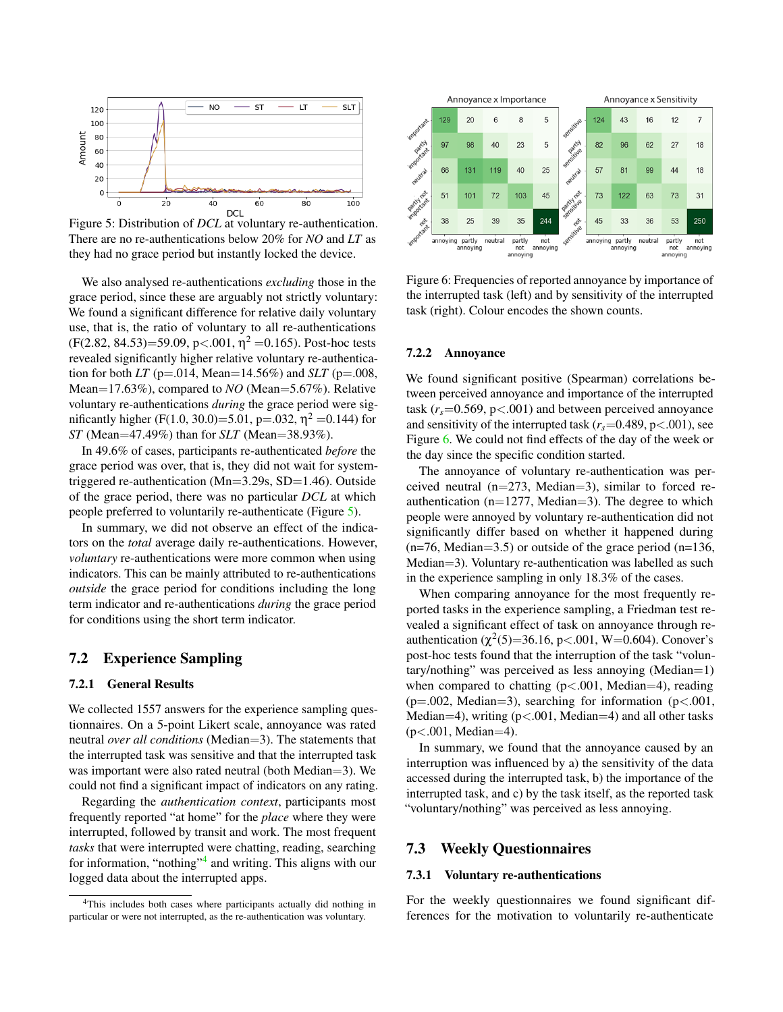

Figure 5: Distribution of *DCL* at voluntary re-authentication. There are no re-authentications below 20% for *NO* and *LT* as they had no grace period but instantly locked the device.

We also analysed re-authentications *excluding* those in the grace period, since these are arguably not strictly voluntary: We found a significant difference for relative daily voluntary use, that is, the ratio of voluntary to all re-authentications  $(F(2.82, 84.53)=59.09, p<.001, \eta^2=0.165)$ . Post-hoc tests revealed significantly higher relative voluntary re-authentication for both *LT* ( $p = .014$ , Mean=14.56%) and *SLT* ( $p = .008$ , Mean=17.63%), compared to *NO* (Mean=5.67%). Relative voluntary re-authentications *during* the grace period were sigmificantly higher (F(1.0, 30.0)=5.01, p=.032,  $\eta^2$  =0.144) for *ST* (Mean=47.49%) than for *SLT* (Mean=38.93%).

In 49.6% of cases, participants re-authenticated *before* the grace period was over, that is, they did not wait for systemtriggered re-authentication (Mn=3.29s, SD=1.46). Outside of the grace period, there was no particular *DCL* at which people preferred to voluntarily re-authenticate (Figure [5\)](#page-7-0).

In summary, we did not observe an effect of the indicators on the *total* average daily re-authentications. However, *voluntary* re-authentications were more common when using indicators. This can be mainly attributed to re-authentications *outside* the grace period for conditions including the long term indicator and re-authentications *during* the grace period for conditions using the short term indicator.

### 7.2 Experience Sampling

#### 7.2.1 General Results

We collected 1557 answers for the experience sampling questionnaires. On a 5-point Likert scale, annoyance was rated neutral *over all conditions* (Median=3). The statements that the interrupted task was sensitive and that the interrupted task was important were also rated neutral (both Median=3). We could not find a significant impact of indicators on any rating.

Regarding the *authentication context*, participants most frequently reported "at home" for the *place* where they were interrupted, followed by transit and work. The most frequent *tasks* that were interrupted were chatting, reading, searching for information, "nothing"<sup>[4](#page-7-1)</sup> and writing. This aligns with our logged data about the interrupted apps.

<span id="page-7-1"></span>



<span id="page-7-2"></span><span id="page-7-0"></span>Figure 6: Frequencies of reported annoyance by importance of the interrupted task (left) and by sensitivity of the interrupted task (right). Colour encodes the shown counts.

#### 7.2.2 Annoyance

We found significant positive (Spearman) correlations between perceived annoyance and importance of the interrupted task  $(r_s=0.569, p<0.01)$  and between perceived annoyance and sensitivity of the interrupted task  $(r_s=0.489, p<.001)$ , see Figure [6.](#page-7-2) We could not find effects of the day of the week or the day since the specific condition started.

The annoyance of voluntary re-authentication was perceived neutral  $(n=273, Median=3)$ , similar to forced reauthentication ( $n=1277$ , Median=3). The degree to which people were annoyed by voluntary re-authentication did not significantly differ based on whether it happened during  $(n=76, Median=3.5)$  or outside of the grace period  $(n=136,$ Median=3). Voluntary re-authentication was labelled as such in the experience sampling in only 18.3% of the cases.

When comparing annoyance for the most frequently reported tasks in the experience sampling, a Friedman test revealed a significant effect of task on annoyance through reauthentication  $(\chi^2(5)=36.16, p<.001, W=0.604)$ . Conover's post-hoc tests found that the interruption of the task "voluntary/nothing" was perceived as less annoying (Median=1) when compared to chatting  $(p<.001,$  Median=4), reading  $(p=.002, \text{Median}=3)$ , searching for information  $(p<.001,$ Median=4), writing (p<.001, Median=4) and all other tasks (p<.001, Median=4).

In summary, we found that the annoyance caused by an interruption was influenced by a) the sensitivity of the data accessed during the interrupted task, b) the importance of the interrupted task, and c) by the task itself, as the reported task "voluntary/nothing" was perceived as less annoying.

#### 7.3 Weekly Questionnaires

#### 7.3.1 Voluntary re-authentications

For the weekly questionnaires we found significant differences for the motivation to voluntarily re-authenticate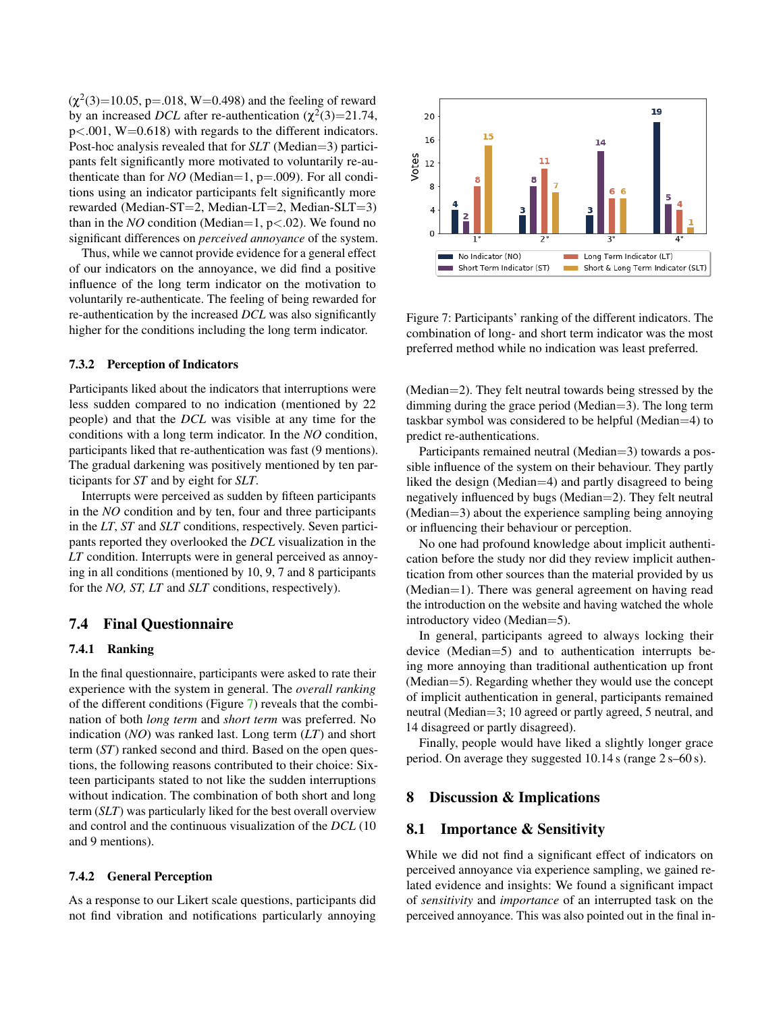$(\chi^2(3)=10.05, p=.018, W=0.498)$  and the feeling of reward by an increased *DCL* after re-authentication  $(\chi^2(3)=21.74,$  $p<.001$ , W=0.618) with regards to the different indicators. Post-hoc analysis revealed that for *SLT* (Median=3) participants felt significantly more motivated to voluntarily re-authenticate than for *NO* (Median=1,  $p=.009$ ). For all conditions using an indicator participants felt significantly more rewarded (Median-ST=2, Median-LT=2, Median-SLT=3) than in the *NO* condition (Median=1, p<.02). We found no significant differences on *perceived annoyance* of the system.

Thus, while we cannot provide evidence for a general effect of our indicators on the annoyance, we did find a positive influence of the long term indicator on the motivation to voluntarily re-authenticate. The feeling of being rewarded for re-authentication by the increased *DCL* was also significantly higher for the conditions including the long term indicator.

#### 7.3.2 Perception of Indicators

Participants liked about the indicators that interruptions were less sudden compared to no indication (mentioned by 22 people) and that the *DCL* was visible at any time for the conditions with a long term indicator. In the *NO* condition, participants liked that re-authentication was fast (9 mentions). The gradual darkening was positively mentioned by ten participants for *ST* and by eight for *SLT*.

Interrupts were perceived as sudden by fifteen participants in the *NO* condition and by ten, four and three participants in the *LT*, *ST* and *SLT* conditions, respectively. Seven participants reported they overlooked the *DCL* visualization in the *LT* condition. Interrupts were in general perceived as annoying in all conditions (mentioned by 10, 9, 7 and 8 participants for the *NO, ST, LT* and *SLT* conditions, respectively).

### 7.4 Final Questionnaire

#### 7.4.1 Ranking

In the final questionnaire, participants were asked to rate their experience with the system in general. The *overall ranking* of the different conditions (Figure [7\)](#page-8-0) reveals that the combination of both *long term* and *short term* was preferred. No indication (*NO*) was ranked last. Long term (*LT*) and short term (*ST*) ranked second and third. Based on the open questions, the following reasons contributed to their choice: Sixteen participants stated to not like the sudden interruptions without indication. The combination of both short and long term (*SLT*) was particularly liked for the best overall overview and control and the continuous visualization of the *DCL* (10 and 9 mentions).

#### 7.4.2 General Perception

As a response to our Likert scale questions, participants did not find vibration and notifications particularly annoying



<span id="page-8-0"></span>Figure 7: Participants' ranking of the different indicators. The combination of long- and short term indicator was the most preferred method while no indication was least preferred.

(Median=2). They felt neutral towards being stressed by the dimming during the grace period (Median=3). The long term taskbar symbol was considered to be helpful (Median=4) to predict re-authentications.

Participants remained neutral (Median=3) towards a possible influence of the system on their behaviour. They partly liked the design (Median=4) and partly disagreed to being negatively influenced by bugs (Median=2). They felt neutral (Median=3) about the experience sampling being annoying or influencing their behaviour or perception.

No one had profound knowledge about implicit authentication before the study nor did they review implicit authentication from other sources than the material provided by us (Median=1). There was general agreement on having read the introduction on the website and having watched the whole introductory video (Median=5).

In general, participants agreed to always locking their device (Median=5) and to authentication interrupts being more annoying than traditional authentication up front (Median=5). Regarding whether they would use the concept of implicit authentication in general, participants remained neutral (Median=3; 10 agreed or partly agreed, 5 neutral, and 14 disagreed or partly disagreed).

Finally, people would have liked a slightly longer grace period. On average they suggested 10.14 s (range 2 s–60 s).

### 8 Discussion & Implications

### 8.1 Importance & Sensitivity

While we did not find a significant effect of indicators on perceived annoyance via experience sampling, we gained related evidence and insights: We found a significant impact of *sensitivity* and *importance* of an interrupted task on the perceived annoyance. This was also pointed out in the final in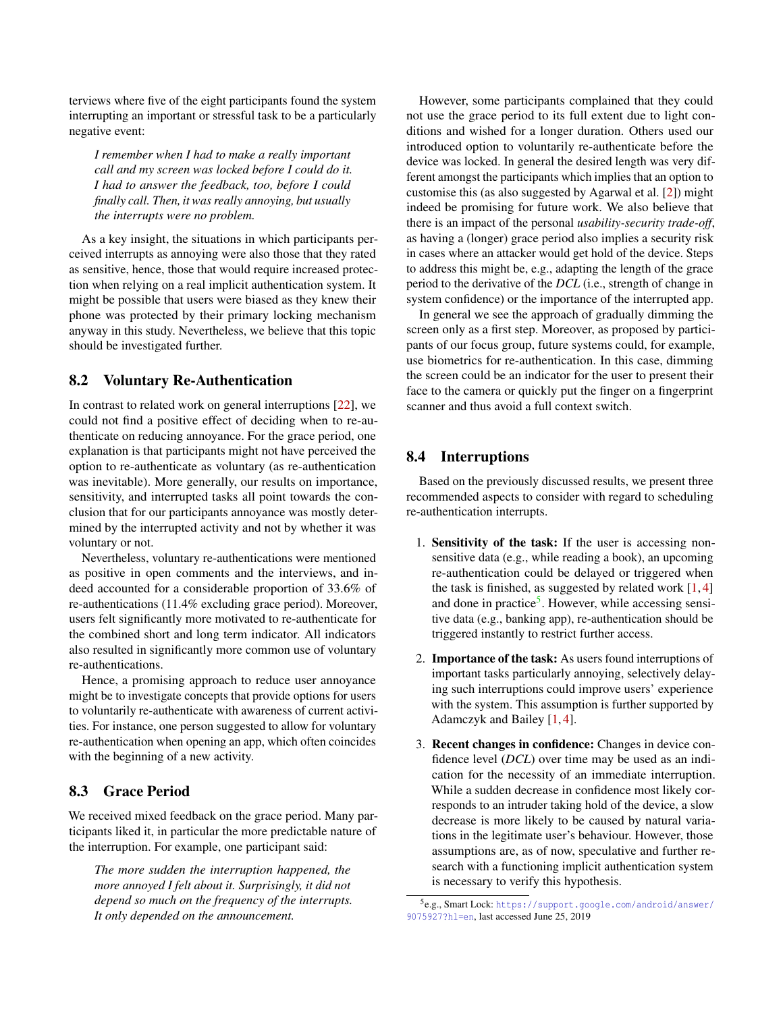terviews where five of the eight participants found the system interrupting an important or stressful task to be a particularly negative event:

*I remember when I had to make a really important call and my screen was locked before I could do it. I had to answer the feedback, too, before I could finally call. Then, it was really annoying, but usually the interrupts were no problem.*

As a key insight, the situations in which participants perceived interrupts as annoying were also those that they rated as sensitive, hence, those that would require increased protection when relying on a real implicit authentication system. It might be possible that users were biased as they knew their phone was protected by their primary locking mechanism anyway in this study. Nevertheless, we believe that this topic should be investigated further.

# 8.2 Voluntary Re-Authentication

In contrast to related work on general interruptions [\[22\]](#page-12-6), we could not find a positive effect of deciding when to re-authenticate on reducing annoyance. For the grace period, one explanation is that participants might not have perceived the option to re-authenticate as voluntary (as re-authentication was inevitable). More generally, our results on importance, sensitivity, and interrupted tasks all point towards the conclusion that for our participants annoyance was mostly determined by the interrupted activity and not by whether it was voluntary or not.

Nevertheless, voluntary re-authentications were mentioned as positive in open comments and the interviews, and indeed accounted for a considerable proportion of 33.6% of re-authentications (11.4% excluding grace period). Moreover, users felt significantly more motivated to re-authenticate for the combined short and long term indicator. All indicators also resulted in significantly more common use of voluntary re-authentications.

Hence, a promising approach to reduce user annoyance might be to investigate concepts that provide options for users to voluntarily re-authenticate with awareness of current activities. For instance, one person suggested to allow for voluntary re-authentication when opening an app, which often coincides with the beginning of a new activity.

# 8.3 Grace Period

We received mixed feedback on the grace period. Many participants liked it, in particular the more predictable nature of the interruption. For example, one participant said:

*The more sudden the interruption happened, the more annoyed I felt about it. Surprisingly, it did not depend so much on the frequency of the interrupts. It only depended on the announcement.*

However, some participants complained that they could not use the grace period to its full extent due to light conditions and wished for a longer duration. Others used our introduced option to voluntarily re-authenticate before the device was locked. In general the desired length was very different amongst the participants which implies that an option to customise this (as also suggested by Agarwal et al. [\[2\]](#page-11-9)) might indeed be promising for future work. We also believe that there is an impact of the personal *usability-security trade-off*, as having a (longer) grace period also implies a security risk in cases where an attacker would get hold of the device. Steps to address this might be, e.g., adapting the length of the grace period to the derivative of the *DCL* (i.e., strength of change in system confidence) or the importance of the interrupted app.

In general we see the approach of gradually dimming the screen only as a first step. Moreover, as proposed by participants of our focus group, future systems could, for example, use biometrics for re-authentication. In this case, dimming the screen could be an indicator for the user to present their face to the camera or quickly put the finger on a fingerprint scanner and thus avoid a full context switch.

# 8.4 Interruptions

Based on the previously discussed results, we present three recommended aspects to consider with regard to scheduling re-authentication interrupts.

- 1. Sensitivity of the task: If the user is accessing nonsensitive data (e.g., while reading a book), an upcoming re-authentication could be delayed or triggered when the task is finished, as suggested by related work  $[1, 4]$  $[1, 4]$  $[1, 4]$ and done in practice<sup>[5](#page-9-0)</sup>. However, while accessing sensitive data (e.g., banking app), re-authentication should be triggered instantly to restrict further access.
- 2. Importance of the task: As users found interruptions of important tasks particularly annoying, selectively delaying such interruptions could improve users' experience with the system. This assumption is further supported by Adamczyk and Bailey [\[1,](#page-11-16) [4\]](#page-11-15).
- 3. Recent changes in confidence: Changes in device confidence level (*DCL*) over time may be used as an indication for the necessity of an immediate interruption. While a sudden decrease in confidence most likely corresponds to an intruder taking hold of the device, a slow decrease is more likely to be caused by natural variations in the legitimate user's behaviour. However, those assumptions are, as of now, speculative and further research with a functioning implicit authentication system is necessary to verify this hypothesis.

<span id="page-9-0"></span><sup>5</sup> e.g., Smart Lock: [https://support.google.com/android/answer/](https://support.google.com/android/answer/9075927?hl=en) [9075927?hl=en](https://support.google.com/android/answer/9075927?hl=en), last accessed June 25, 2019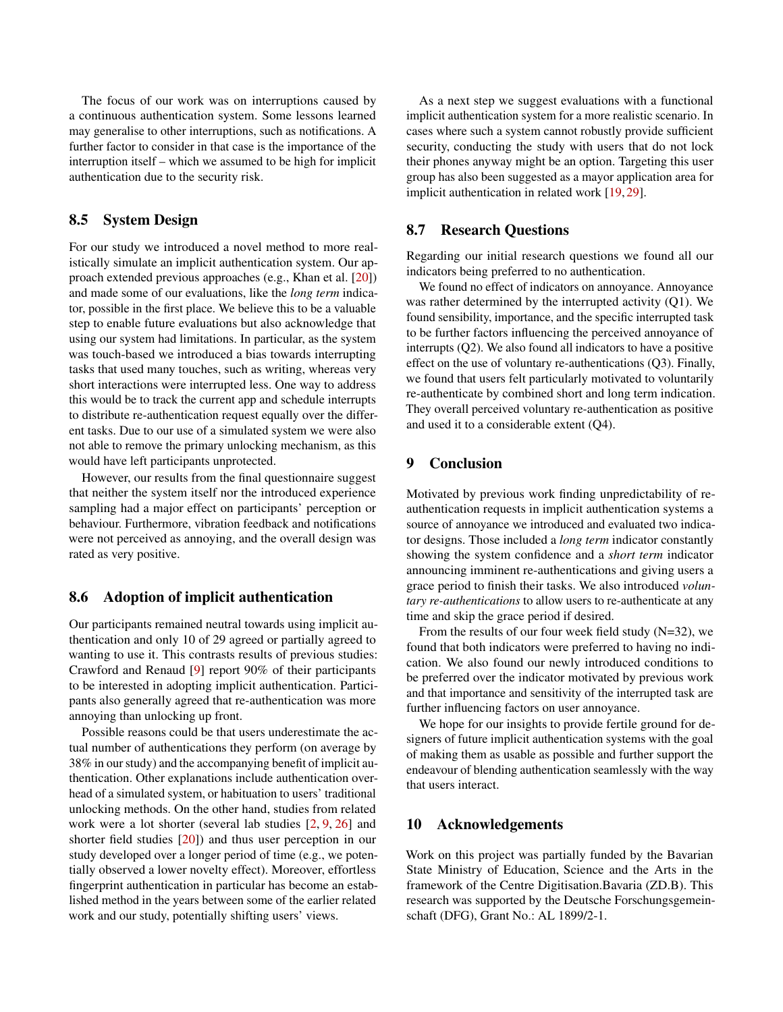The focus of our work was on interruptions caused by a continuous authentication system. Some lessons learned may generalise to other interruptions, such as notifications. A further factor to consider in that case is the importance of the interruption itself – which we assumed to be high for implicit authentication due to the security risk.

### 8.5 System Design

For our study we introduced a novel method to more realistically simulate an implicit authentication system. Our approach extended previous approaches (e.g., Khan et al. [\[20\]](#page-12-5)) and made some of our evaluations, like the *long term* indicator, possible in the first place. We believe this to be a valuable step to enable future evaluations but also acknowledge that using our system had limitations. In particular, as the system was touch-based we introduced a bias towards interrupting tasks that used many touches, such as writing, whereas very short interactions were interrupted less. One way to address this would be to track the current app and schedule interrupts to distribute re-authentication request equally over the different tasks. Due to our use of a simulated system we were also not able to remove the primary unlocking mechanism, as this would have left participants unprotected.

However, our results from the final questionnaire suggest that neither the system itself nor the introduced experience sampling had a major effect on participants' perception or behaviour. Furthermore, vibration feedback and notifications were not perceived as annoying, and the overall design was rated as very positive.

### 8.6 Adoption of implicit authentication

Our participants remained neutral towards using implicit authentication and only 10 of 29 agreed or partially agreed to wanting to use it. This contrasts results of previous studies: Crawford and Renaud [\[9\]](#page-11-10) report 90% of their participants to be interested in adopting implicit authentication. Participants also generally agreed that re-authentication was more annoying than unlocking up front.

Possible reasons could be that users underestimate the actual number of authentications they perform (on average by 38% in our study) and the accompanying benefit of implicit authentication. Other explanations include authentication overhead of a simulated system, or habituation to users' traditional unlocking methods. On the other hand, studies from related work were a lot shorter (several lab studies [\[2,](#page-11-9) [9,](#page-11-10) [26\]](#page-12-8) and shorter field studies [\[20\]](#page-12-5)) and thus user perception in our study developed over a longer period of time (e.g., we potentially observed a lower novelty effect). Moreover, effortless fingerprint authentication in particular has become an established method in the years between some of the earlier related work and our study, potentially shifting users' views.

As a next step we suggest evaluations with a functional implicit authentication system for a more realistic scenario. In cases where such a system cannot robustly provide sufficient security, conducting the study with users that do not lock their phones anyway might be an option. Targeting this user group has also been suggested as a mayor application area for implicit authentication in related work [\[19,](#page-11-8) [29\]](#page-12-9).

# 8.7 Research Questions

Regarding our initial research questions we found all our indicators being preferred to no authentication.

We found no effect of indicators on annoyance. Annoyance was rather determined by the interrupted activity (Q1). We found sensibility, importance, and the specific interrupted task to be further factors influencing the perceived annoyance of interrupts (Q2). We also found all indicators to have a positive effect on the use of voluntary re-authentications (Q3). Finally, we found that users felt particularly motivated to voluntarily re-authenticate by combined short and long term indication. They overall perceived voluntary re-authentication as positive and used it to a considerable extent (Q4).

# 9 Conclusion

Motivated by previous work finding unpredictability of reauthentication requests in implicit authentication systems a source of annoyance we introduced and evaluated two indicator designs. Those included a *long term* indicator constantly showing the system confidence and a *short term* indicator announcing imminent re-authentications and giving users a grace period to finish their tasks. We also introduced *voluntary re-authentications* to allow users to re-authenticate at any time and skip the grace period if desired.

From the results of our four week field study (N=32), we found that both indicators were preferred to having no indication. We also found our newly introduced conditions to be preferred over the indicator motivated by previous work and that importance and sensitivity of the interrupted task are further influencing factors on user annoyance.

We hope for our insights to provide fertile ground for designers of future implicit authentication systems with the goal of making them as usable as possible and further support the endeavour of blending authentication seamlessly with the way that users interact.

### 10 Acknowledgements

Work on this project was partially funded by the Bavarian State Ministry of Education, Science and the Arts in the framework of the Centre Digitisation.Bavaria (ZD.B). This research was supported by the Deutsche Forschungsgemeinschaft (DFG), Grant No.: AL 1899/2-1.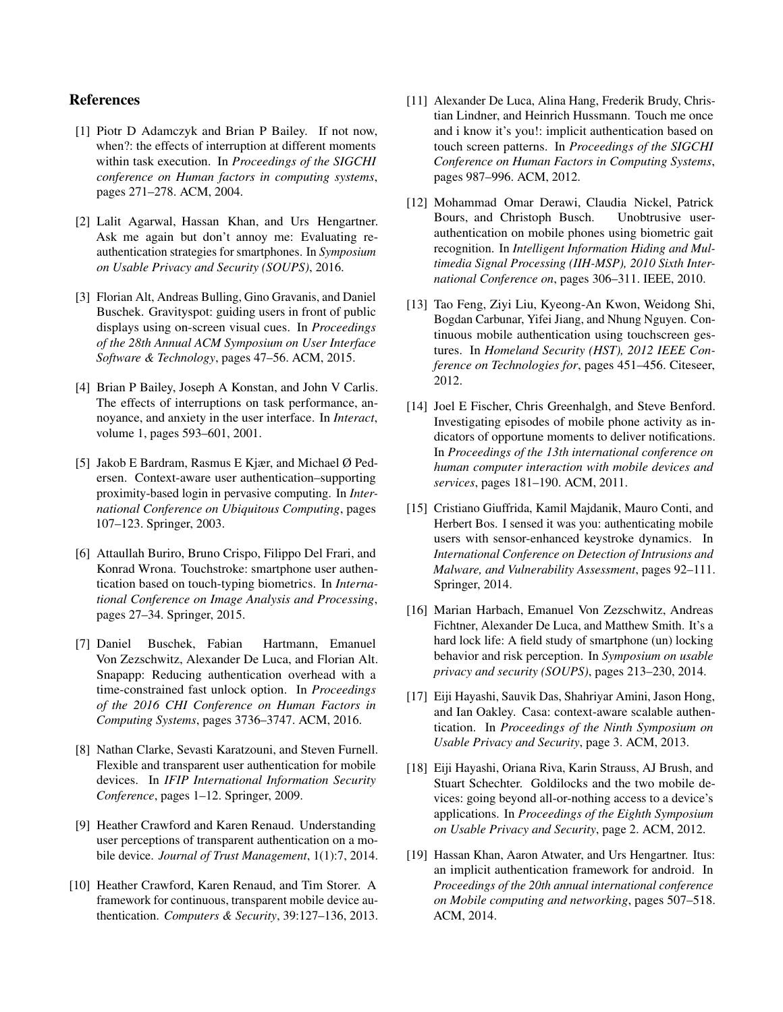# References

- <span id="page-11-16"></span>[1] Piotr D Adamczyk and Brian P Bailey. If not now, when?: the effects of interruption at different moments within task execution. In *Proceedings of the SIGCHI conference on Human factors in computing systems*, pages 271–278. ACM, 2004.
- <span id="page-11-9"></span>[2] Lalit Agarwal, Hassan Khan, and Urs Hengartner. Ask me again but don't annoy me: Evaluating reauthentication strategies for smartphones. In *Symposium on Usable Privacy and Security (SOUPS)*, 2016.
- <span id="page-11-18"></span>[3] Florian Alt, Andreas Bulling, Gino Gravanis, and Daniel Buschek. Gravityspot: guiding users in front of public displays using on-screen visual cues. In *Proceedings of the 28th Annual ACM Symposium on User Interface Software & Technology*, pages 47–56. ACM, 2015.
- <span id="page-11-15"></span>[4] Brian P Bailey, Joseph A Konstan, and John V Carlis. The effects of interruptions on task performance, annoyance, and anxiety in the user interface. In *Interact*, volume 1, pages 593–601, 2001.
- <span id="page-11-12"></span>[5] Jakob E Bardram, Rasmus E Kjær, and Michael Ø Pedersen. Context-aware user authentication–supporting proximity-based login in pervasive computing. In *International Conference on Ubiquitous Computing*, pages 107–123. Springer, 2003.
- <span id="page-11-4"></span>[6] Attaullah Buriro, Bruno Crispo, Filippo Del Frari, and Konrad Wrona. Touchstroke: smartphone user authentication based on touch-typing biometrics. In *International Conference on Image Analysis and Processing*, pages 27–34. Springer, 2015.
- <span id="page-11-1"></span>[7] Daniel Buschek, Fabian Hartmann, Emanuel Von Zezschwitz, Alexander De Luca, and Florian Alt. Snapapp: Reducing authentication overhead with a time-constrained fast unlock option. In *Proceedings of the 2016 CHI Conference on Human Factors in Computing Systems*, pages 3736–3747. ACM, 2016.
- <span id="page-11-13"></span>[8] Nathan Clarke, Sevasti Karatzouni, and Steven Furnell. Flexible and transparent user authentication for mobile devices. In *IFIP International Information Security Conference*, pages 1–12. Springer, 2009.
- <span id="page-11-10"></span>[9] Heather Crawford and Karen Renaud. Understanding user perceptions of transparent authentication on a mobile device. *Journal of Trust Management*, 1(1):7, 2014.
- <span id="page-11-11"></span>[10] Heather Crawford, Karen Renaud, and Tim Storer. A framework for continuous, transparent mobile device authentication. *Computers & Security*, 39:127–136, 2013.
- <span id="page-11-5"></span>[11] Alexander De Luca, Alina Hang, Frederik Brudy, Christian Lindner, and Heinrich Hussmann. Touch me once and i know it's you!: implicit authentication based on touch screen patterns. In *Proceedings of the SIGCHI Conference on Human Factors in Computing Systems*, pages 987–996. ACM, 2012.
- <span id="page-11-6"></span>[12] Mohammad Omar Derawi, Claudia Nickel, Patrick Bours, and Christoph Busch. Unobtrusive userauthentication on mobile phones using biometric gait recognition. In *Intelligent Information Hiding and Multimedia Signal Processing (IIH-MSP), 2010 Sixth International Conference on*, pages 306–311. IEEE, 2010.
- <span id="page-11-7"></span>[13] Tao Feng, Ziyi Liu, Kyeong-An Kwon, Weidong Shi, Bogdan Carbunar, Yifei Jiang, and Nhung Nguyen. Continuous mobile authentication using touchscreen gestures. In *Homeland Security (HST), 2012 IEEE Conference on Technologies for*, pages 451–456. Citeseer, 2012.
- <span id="page-11-17"></span>[14] Joel E Fischer, Chris Greenhalgh, and Steve Benford. Investigating episodes of mobile phone activity as indicators of opportune moments to deliver notifications. In *Proceedings of the 13th international conference on human computer interaction with mobile devices and services*, pages 181–190. ACM, 2011.
- <span id="page-11-14"></span>[15] Cristiano Giuffrida, Kamil Majdanik, Mauro Conti, and Herbert Bos. I sensed it was you: authenticating mobile users with sensor-enhanced keystroke dynamics. In *International Conference on Detection of Intrusions and Malware, and Vulnerability Assessment*, pages 92–111. Springer, 2014.
- <span id="page-11-0"></span>[16] Marian Harbach, Emanuel Von Zezschwitz, Andreas Fichtner, Alexander De Luca, and Matthew Smith. It's a hard lock life: A field study of smartphone (un) locking behavior and risk perception. In *Symposium on usable privacy and security (SOUPS)*, pages 213–230, 2014.
- <span id="page-11-3"></span>[17] Eiji Hayashi, Sauvik Das, Shahriyar Amini, Jason Hong, and Ian Oakley. Casa: context-aware scalable authentication. In *Proceedings of the Ninth Symposium on Usable Privacy and Security*, page 3. ACM, 2013.
- <span id="page-11-2"></span>[18] Eiji Hayashi, Oriana Riva, Karin Strauss, AJ Brush, and Stuart Schechter. Goldilocks and the two mobile devices: going beyond all-or-nothing access to a device's applications. In *Proceedings of the Eighth Symposium on Usable Privacy and Security*, page 2. ACM, 2012.
- <span id="page-11-8"></span>[19] Hassan Khan, Aaron Atwater, and Urs Hengartner. Itus: an implicit authentication framework for android. In *Proceedings of the 20th annual international conference on Mobile computing and networking*, pages 507–518. ACM, 2014.